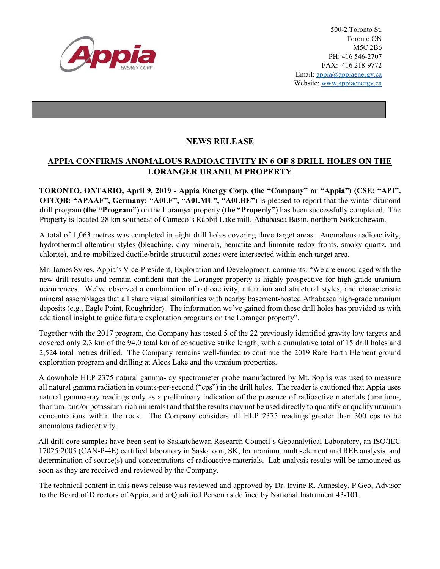

500-2 Toronto St. Toronto ON M5C 2B6 PH: 416 546-2707 FAX: 416 218-9772 Email: appia@appiaenergy.ca Website: www.appiaenergy.ca

## **NEWS RELEASE**

## **APPIA CONFIRMS ANOMALOUS RADIOACTIVITY IN 6 OF 8 DRILL HOLES ON THE LORANGER URANIUM PROPERTY**

**TORONTO, ONTARIO, April 9, 2019 - Appia Energy Corp. (the "Company" or "Appia") (CSE: "API", OTCQB: "APAAF", Germany: "A0I.F", "A0I.MU", "A0I.BE")** is pleased to report that the winter diamond drill program (**the "Program"**) on the Loranger property (**the "Property"**) has been successfully completed. The Property is located 28 km southeast of Cameco's Rabbit Lake mill, Athabasca Basin, northern Saskatchewan.

A total of 1,063 metres was completed in eight drill holes covering three target areas. Anomalous radioactivity, hydrothermal alteration styles (bleaching, clay minerals, hematite and limonite redox fronts, smoky quartz, and chlorite), and re-mobilized ductile/brittle structural zones were intersected within each target area.

Mr. James Sykes, Appia's Vice-President, Exploration and Development, comments: "We are encouraged with the new drill results and remain confident that the Loranger property is highly prospective for high-grade uranium occurrences. We've observed a combination of radioactivity, alteration and structural styles, and characteristic mineral assemblages that all share visual similarities with nearby basement-hosted Athabasca high-grade uranium deposits (e.g., Eagle Point, Roughrider). The information we've gained from these drill holes has provided us with additional insight to guide future exploration programs on the Loranger property".

Together with the 2017 program, the Company has tested 5 of the 22 previously identified gravity low targets and covered only 2.3 km of the 94.0 total km of conductive strike length; with a cumulative total of 15 drill holes and 2,524 total metres drilled. The Company remains well-funded to continue the 2019 Rare Earth Element ground exploration program and drilling at Alces Lake and the uranium properties.

A downhole HLP 2375 natural gamma-ray spectrometer probe manufactured by Mt. Sopris was used to measure all natural gamma radiation in counts-per-second ("cps") in the drill holes. The reader is cautioned that Appia uses natural gamma-ray readings only as a preliminary indication of the presence of radioactive materials (uranium-, thorium- and/or potassium-rich minerals) and that the results may not be used directly to quantify or qualify uranium concentrations within the rock. The Company considers all HLP 2375 readings greater than 300 cps to be anomalous radioactivity.

All drill core samples have been sent to Saskatchewan Research Council's Geoanalytical Laboratory, an ISO/IEC 17025:2005 (CAN-P-4E) certified laboratory in Saskatoon, SK, for uranium, multi-element and REE analysis, and determination of source(s) and concentrations of radioactive materials. Lab analysis results will be announced as soon as they are received and reviewed by the Company.

The technical content in this news release was reviewed and approved by Dr. Irvine R. Annesley, P.Geo, Advisor to the Board of Directors of Appia, and a Qualified Person as defined by National Instrument 43-101.